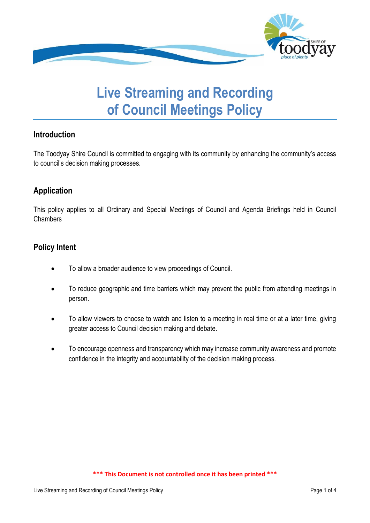

# **Live Streaming and Recording of Council Meetings Policy**

## **Introduction**

The Toodyay Shire Council is committed to engaging with its community by enhancing the community's access to council's decision making processes.

## **Application**

This policy applies to all Ordinary and Special Meetings of Council and Agenda Briefings held in Council Chambers

## **Policy Intent**

- To allow a broader audience to view proceedings of Council.
- To reduce geographic and time barriers which may prevent the public from attending meetings in person.
- To allow viewers to choose to watch and listen to a meeting in real time or at a later time, giving greater access to Council decision making and debate.
- To encourage openness and transparency which may increase community awareness and promote confidence in the integrity and accountability of the decision making process.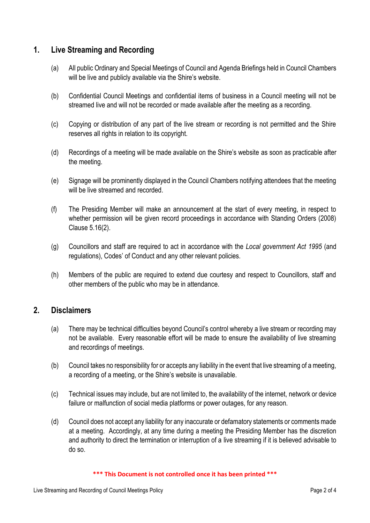## **1. Live Streaming and Recording**

- (a) All public Ordinary and Special Meetings of Council and Agenda Briefings held in Council Chambers will be live and publicly available via the Shire's website.
- (b) Confidential Council Meetings and confidential items of business in a Council meeting will not be streamed live and will not be recorded or made available after the meeting as a recording.
- (c) Copying or distribution of any part of the live stream or recording is not permitted and the Shire reserves all rights in relation to its copyright.
- (d) Recordings of a meeting will be made available on the Shire's website as soon as practicable after the meeting.
- (e) Signage will be prominently displayed in the Council Chambers notifying attendees that the meeting will be live streamed and recorded.
- (f) The Presiding Member will make an announcement at the start of every meeting, in respect to whether permission will be given record proceedings in accordance with Standing Orders (2008) Clause 5.16(2).
- (g) Councillors and staff are required to act in accordance with the *Local government Act 1995* (and regulations), Codes' of Conduct and any other relevant policies.
- (h) Members of the public are required to extend due courtesy and respect to Councillors, staff and other members of the public who may be in attendance.

#### **2. Disclaimers**

- (a) There may be technical difficulties beyond Council's control whereby a live stream or recording may not be available. Every reasonable effort will be made to ensure the availability of live streaming and recordings of meetings.
- (b) Council takes no responsibility for or accepts any liability in the event that live streaming of a meeting, a recording of a meeting, or the Shire's website is unavailable.
- (c) Technical issues may include, but are not limited to, the availability of the internet, network or device failure or malfunction of social media platforms or power outages, for any reason.
- (d) Council does not accept any liability for any inaccurate or defamatory statements or comments made at a meeting. Accordingly, at any time during a meeting the Presiding Member has the discretion and authority to direct the termination or interruption of a live streaming if it is believed advisable to do so.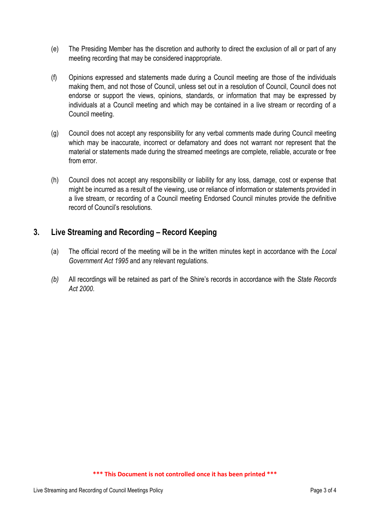- (e) The Presiding Member has the discretion and authority to direct the exclusion of all or part of any meeting recording that may be considered inappropriate.
- (f) Opinions expressed and statements made during a Council meeting are those of the individuals making them, and not those of Council, unless set out in a resolution of Council, Council does not endorse or support the views, opinions, standards, or information that may be expressed by individuals at a Council meeting and which may be contained in a live stream or recording of a Council meeting.
- (g) Council does not accept any responsibility for any verbal comments made during Council meeting which may be inaccurate, incorrect or defamatory and does not warrant nor represent that the material or statements made during the streamed meetings are complete, reliable, accurate or free from error.
- (h) Council does not accept any responsibility or liability for any loss, damage, cost or expense that might be incurred as a result of the viewing, use or reliance of information or statements provided in a live stream, or recording of a Council meeting Endorsed Council minutes provide the definitive record of Council's resolutions.

## **3. Live Streaming and Recording – Record Keeping**

- (a) The official record of the meeting will be in the written minutes kept in accordance with the *Local Government Act 1995* and any relevant regulations.
- *(b)* All recordings will be retained as part of the Shire's records in accordance with the *State Records Act 2000.*